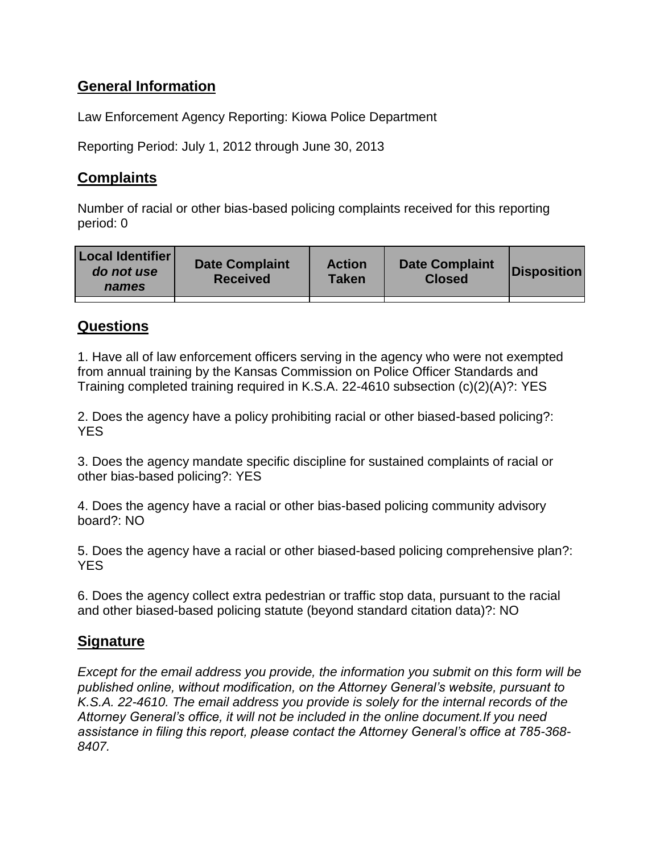# **General Information**

Law Enforcement Agency Reporting: Kiowa Police Department

Reporting Period: July 1, 2012 through June 30, 2013

## **Complaints**

Number of racial or other bias-based policing complaints received for this reporting period: 0

| Local Identifier<br>do not use<br>names | <b>Date Complaint</b><br><b>Received</b> | <b>Action</b><br>Taken | <b>Date Complaint</b><br><b>Closed</b> | <b>Disposition</b> |
|-----------------------------------------|------------------------------------------|------------------------|----------------------------------------|--------------------|
|                                         |                                          |                        |                                        |                    |

## **Questions**

1. Have all of law enforcement officers serving in the agency who were not exempted from annual training by the Kansas Commission on Police Officer Standards and Training completed training required in K.S.A. 22-4610 subsection (c)(2)(A)?: YES

2. Does the agency have a policy prohibiting racial or other biased-based policing?: **YES** 

3. Does the agency mandate specific discipline for sustained complaints of racial or other bias-based policing?: YES

4. Does the agency have a racial or other bias-based policing community advisory board?: NO

5. Does the agency have a racial or other biased-based policing comprehensive plan?: YES

6. Does the agency collect extra pedestrian or traffic stop data, pursuant to the racial and other biased-based policing statute (beyond standard citation data)?: NO

## **Signature**

*Except for the email address you provide, the information you submit on this form will be published online, without modification, on the Attorney General's website, pursuant to K.S.A. 22-4610. The email address you provide is solely for the internal records of the Attorney General's office, it will not be included in the online document.If you need assistance in filing this report, please contact the Attorney General's office at 785-368- 8407.*